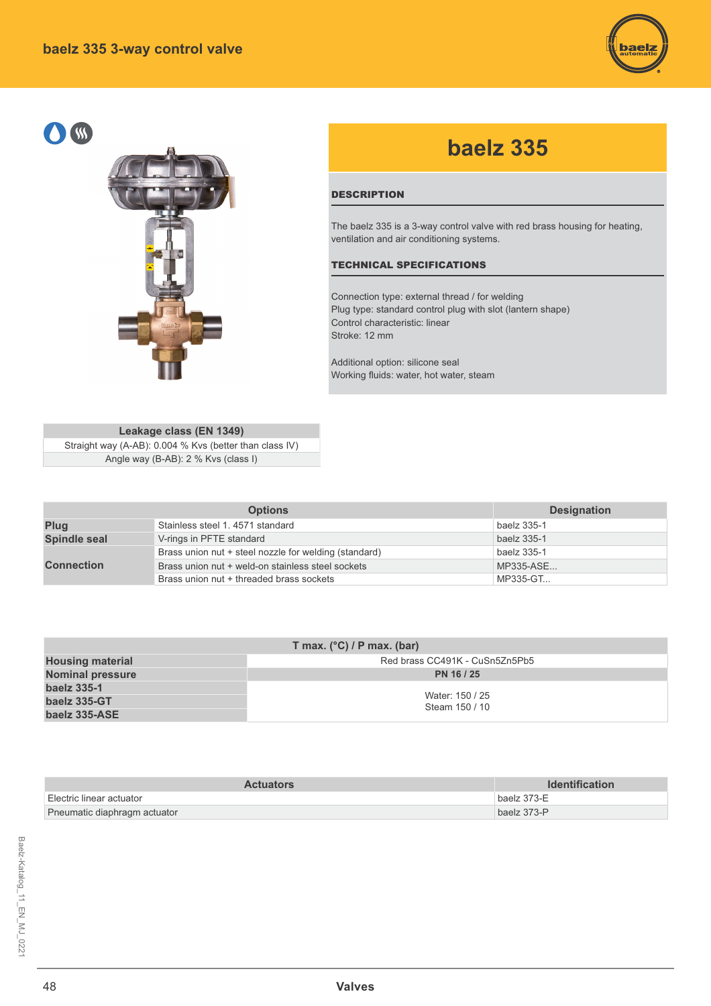



# **baelz 335**

### **DESCRIPTION**

The baelz 335 is a 3-way control valve with red brass housing for heating, ventilation and air conditioning systems.

#### TECHNICAL SPECIFICATIONS

Connection type: external thread / for welding Plug type: standard control plug with slot (lantern shape) Control characteristic: linear Stroke: 12 mm

Additional option: silicone seal Working fluids: water, hot water, steam

# **Leakage class (EN 1349)**

Straight way (A-AB): 0.004 % Kvs (better than class IV) Angle way (B-AB): 2 % Kvs (class I)

|                   | <b>Options</b>                                        | <b>Designation</b> |
|-------------------|-------------------------------------------------------|--------------------|
| Plug              | Stainless steel 1, 4571 standard                      | baelz 335-1        |
| Spindle seal      | V-rings in PFTE standard                              | baelz 335-1        |
|                   | Brass union nut + steel nozzle for welding (standard) | baelz 335-1        |
| <b>Connection</b> | Brass union nut + weld-on stainless steel sockets     | MP335-ASE          |
|                   | Brass union nut + threaded brass sockets              | MP335-GT           |

| T max. $(^{\circ}C)$ / P max. (bar) |                                |  |  |  |  |  |  |  |  |  |
|-------------------------------------|--------------------------------|--|--|--|--|--|--|--|--|--|
| <b>Housing material</b>             | Red brass CC491K - CuSn5Zn5Pb5 |  |  |  |  |  |  |  |  |  |
| <b>Nominal pressure</b>             | PN 16 / 25                     |  |  |  |  |  |  |  |  |  |
| baelz 335-1                         | Water: 150 / 25                |  |  |  |  |  |  |  |  |  |
| baelz 335-GT                        | Steam 150 / 10                 |  |  |  |  |  |  |  |  |  |
| baelz 335-ASE                       |                                |  |  |  |  |  |  |  |  |  |

| <b>Actuators</b>             | <b>Identification</b> |
|------------------------------|-----------------------|
| ∣ Electric linear actuator   | baelz 373-E           |
| Pneumatic diaphragm actuator | baelz 373-P           |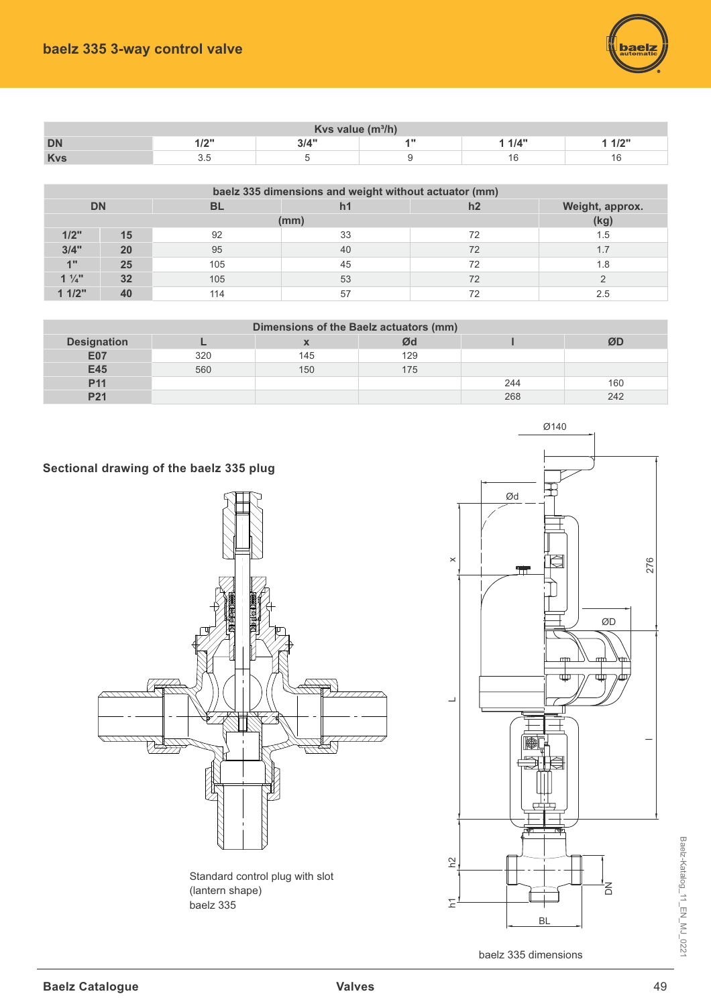

| Kvs value $(m^3/h)$ |                                                                                |  |  |    |  |  |  |  |  |  |  |
|---------------------|--------------------------------------------------------------------------------|--|--|----|--|--|--|--|--|--|--|
| <b>DN</b>           | $\overline{\phantom{a}}$<br>314"<br>1/4"<br>A W<br>41011<br>$\mathbf{11}$<br>. |  |  |    |  |  |  |  |  |  |  |
| <b>Kvs</b>          | ∪.∪                                                                            |  |  | 1c |  |  |  |  |  |  |  |

|                | baelz 335 dimensions and weight without actuator (mm) |           |     |    |                 |  |  |  |  |  |  |  |  |
|----------------|-------------------------------------------------------|-----------|-----|----|-----------------|--|--|--|--|--|--|--|--|
| <b>DN</b>      |                                                       | <b>BL</b> |     | h2 | Weight, approx. |  |  |  |  |  |  |  |  |
|                |                                                       |           | mm) |    | (kg)            |  |  |  |  |  |  |  |  |
| 1/2"           | 15                                                    | 92        | 33  | 72 | 1.5             |  |  |  |  |  |  |  |  |
| 3/4"           | 20                                                    | 95        | 40  | 72 |                 |  |  |  |  |  |  |  |  |
| 4"             | 25                                                    | 105       | 45  | 72 | 1.8             |  |  |  |  |  |  |  |  |
| $1\frac{1}{4}$ | 32                                                    | 105       | 53  | 72 |                 |  |  |  |  |  |  |  |  |
| 11/2"          | 40                                                    | 114       | 57  |    |                 |  |  |  |  |  |  |  |  |

## **Dimensions of the Baelz actuators (mm)**

| <b>Designation</b> |     |     | Ød  |     | ØD  |
|--------------------|-----|-----|-----|-----|-----|
| E07                | 320 | 145 | 129 |     |     |
| E45                | 560 | 150 | 175 |     |     |
| P11                |     |     |     | 244 | 160 |
| P <sub>21</sub>    |     |     |     | 268 | 242 |

**Sectional drawing of the baelz 335 plug** 





baelz 335 dimensions

Baelz-Katalog\_11\_EN\_MJ\_0221

Baelz-Katalog\_11\_EN\_MJ\_0221